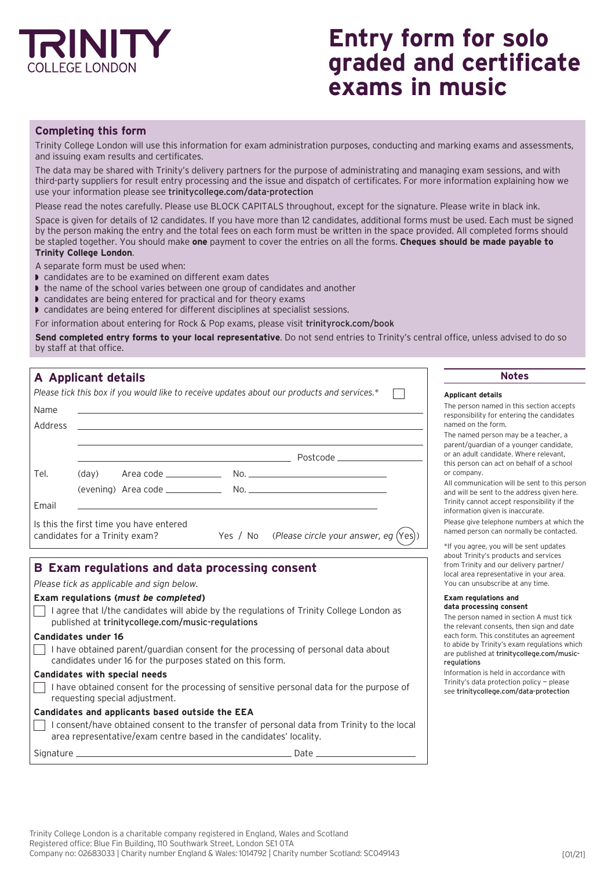

# **Entry form for solo graded and certificate exams in music**

### **Completing this form**

Trinity College London will use this information for exam administration purposes, conducting and marking exams and assessments, and issuing exam results and certificates.

The data may be shared with Trinity's delivery partners for the purpose of administrating and managing exam sessions, and with third-party suppliers for result entry processing and the issue and dispatch of certificates. For more information explaining how we use your information please see [trinitycollege.com/data-protection](http://trinitycollege.com/data-protection)

Please read the notes carefully. Please use BLOCK CAPITALS throughout, except for the signature. Please write in black ink.

Space is given for details of 12 candidates. If you have more than 12 candidates, additional forms must be used. Each must be signed by the person making the entry and the total fees on each form must be written in the space provided. All completed forms should be stapled together. You should make **one** payment to cover the entries on all the forms. **Cheques should be made payable to Trinity College London**.

A separate form must be used when:

- $\triangleright$  candidates are to be examined on different exam dates
- $\blacktriangleright$  the name of the school varies between one group of candidates and another
- $\triangleright$  candidates are being entered for practical and for theory exams

I candidates are being entered for different disciplines at specialist sessions.

For information about entering for Rock & Pop exams, please visit [trinityrock.com/book](http://trinityrock.com/book)

**Send completed entry forms to your local representative**. Do not send entries to Trinity's central office, unless advised to do so by staff at that office.

| A Applicant details                                                                                                                            |                                                                                                           | <b>Notes</b>                                                                                                                                                                                                                                |
|------------------------------------------------------------------------------------------------------------------------------------------------|-----------------------------------------------------------------------------------------------------------|---------------------------------------------------------------------------------------------------------------------------------------------------------------------------------------------------------------------------------------------|
|                                                                                                                                                | Please tick this box if you would like to receive updates about our products and services.*               | <b>Applicant details</b>                                                                                                                                                                                                                    |
| Name<br>Address                                                                                                                                |                                                                                                           | The person named in this section accepts<br>responsibility for entering the candidates<br>named on the form.<br>The named person may be a teacher, a<br>parent/quardian of a younger candidate,<br>or an adult candidate. Where relevant.   |
| (day)<br>Tel.<br>Email                                                                                                                         |                                                                                                           | this person can act on behalf of a school<br>or company.<br>All communication will be sent to this persor<br>and will be sent to the address given here.<br>Trinity cannot accept responsibility if the<br>information given is inaccurate. |
| Is this the first time you have entered<br>Yes / No (Please circle your answer, eg $(Yes)$ )<br>candidates for a Trinity exam?                 |                                                                                                           | Please give telephone numbers at which the<br>named person can normally be contacted.<br>*If you agree, you will be sent updates                                                                                                            |
| B Exam regulations and data processing consent<br>Please tick as applicable and sign below.                                                    |                                                                                                           | about Trinity's products and services<br>from Trinity and our delivery partner/<br>local area representative in your area.<br>You can unsubscribe at any time.                                                                              |
| Exam regulations (must be completed)<br>published at trinitycollege.com/music-regulations<br>Candidates under 16                               | I agree that I/the candidates will abide by the regulations of Trinity College London as                  | <b>Exam regulations and</b><br>data processing consent<br>The person named in section A must tick<br>the relevant consents, then sign and date<br>each form. This constitutes an agreement                                                  |
| I have obtained parent/guardian consent for the processing of personal data about<br>candidates under 16 for the purposes stated on this form. | to abide by Trinity's exam regulations which<br>are published at trinitycollege.com/music-<br>regulations |                                                                                                                                                                                                                                             |
| <b>Candidates with special needs</b>                                                                                                           |                                                                                                           | Information is held in accordance with<br>Trinity's data protection policy - please                                                                                                                                                         |

 $\Box$  I have obtained consent for the processing of sensitive personal data for the purpose of requesting special adjustment.

**Candidates and applicants based outside the EEA**

 $\Box$ I consent/have obtained consent to the transfer of personal data from Trinity to the local area representative/exam centre based in the candidates' locality.

Signature Date

#### **Example data processing consent**

d in accordance with Trinity's data protection policy — please see [trinitycollege.com/data-protection](http://trinitycollege.com/data-protection)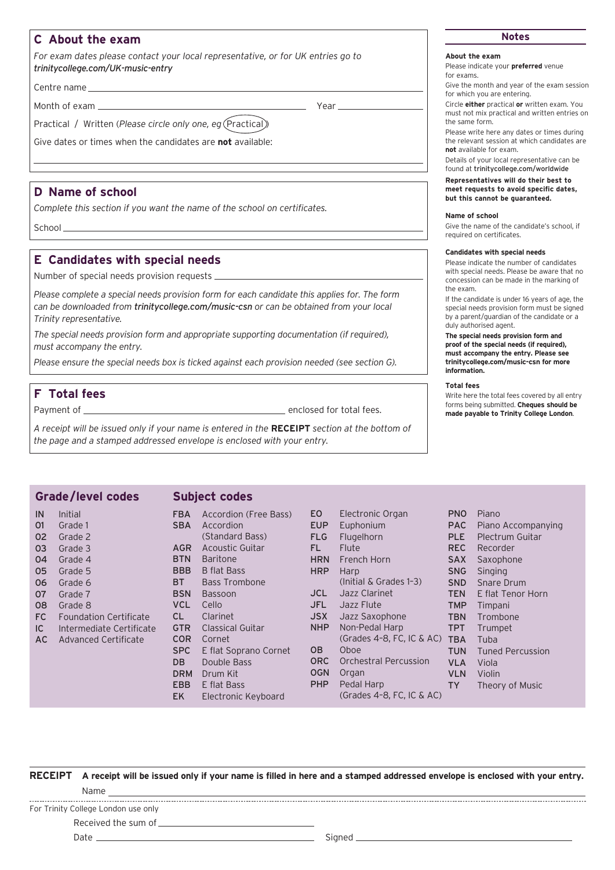## **C About the exam Notes**

*For exam dates please contact your local representative, or for UK entries go to [trinitycollege.com/UK-music-entry](http://trinitycollege.com/UK-music-entry)*

Centre name

Month of exam **Year** 

Practical / Written (Please circle only one, eg (Practical))

Give dates or times when the candidates are **not** available:

### **D Name of school**

*Complete this section if you want the name of the school on certificates.*

School

### **E Candidates with special needs**

Number of special needs provision requests

*Please complete a special needs provision form for each candidate this applies for. The form can be downloaded from [trinitycollege.com/music-csn](http://trinitycollege.com/music-csn) or can be obtained from your local Trinity representative.*

*The special needs provision form and appropriate supporting documentation (if required), must accompany the entry.* 

*Please ensure the special needs box is ticked against each provision needed (see section G).*

### **F Total fees**

Payment of enclosed for total fees.

*A receipt will be issued only if your name is entered in the* **RECEIPT** *section at the bottom of the page and a stamped addressed envelope is enclosed with your entry.*

### **Grade/level codes**

### **Subject codes**

| IN  | Initial                       | <b>FBA</b>     | Accordion (Free Bass) | <b>EO</b>  | Electronic Organ             |
|-----|-------------------------------|----------------|-----------------------|------------|------------------------------|
| 01  | Grade 1                       | <b>SBA</b>     | Accordion             | <b>EUP</b> | Euphonium                    |
| 02  | Grade 2                       |                | (Standard Bass)       | <b>FLG</b> | Flugelhorn                   |
| 03  | Grade 3                       | <b>AGR</b>     | Acoustic Guitar       | FL.        | Flute                        |
| 04  | Grade 4                       | <b>BTN</b>     | <b>Baritone</b>       | <b>HRN</b> | French Horn                  |
| 05  | Grade 5                       | <b>BBB</b>     | <b>B</b> flat Bass    | <b>HRP</b> | Harp                         |
| 06  | Grade 6                       | BT.            | <b>Bass Trombone</b>  |            | $ (Initial & Grades 1-3)$    |
| 07  | Grade 7                       | <b>BSN</b>     | <b>Bassoon</b>        | JCL.       | Jazz Clarinet                |
| 08  | Grade 8                       | <b>VCL</b>     | Cello                 | JFL.       | Jazz Flute                   |
| FC  | <b>Foundation Certificate</b> | CL.            | Clarinet              | <b>JSX</b> | Jazz Saxophone               |
| IC. | Intermediate Certificate      | <b>GTR</b>     | Classical Guitar      | NHP        | Non-Pedal Harp               |
| AC  | Advanced Certificate          | <b>COR</b>     | Cornet                |            | (Grades $4-8$ , FC, IC & AC) |
|     |                               | <b>SPC</b>     | E flat Soprano Cornet | <b>OB</b>  | Oboe                         |
|     |                               | D <sub>B</sub> | Double Bass           | <b>ORC</b> | <b>Orchestral Percussion</b> |
|     |                               | <b>DRM</b>     | Drum Kit              | <b>OGN</b> | Organ                        |
|     |                               | <b>EBB</b>     | E flat Bass           | PHP        | Pedal Harp                   |
|     |                               | <b>EK</b>      | Electronic Keyboard   |            | (Grades $4-8$ , FC, IC & AC) |
|     |                               |                |                       |            |                              |

**RECEIPT A receipt will be issued only if your name is filled in here and a stamped addressed envelope is enclosed with your entry.** Name For Trinity College London use only Received the sum of Date Signed

### **About the exam**

Please indicate your **preferred** venue for exams.

Give the month and year of the exam session for which you are entering.

Circle **either** practical **or** written exam. You must not mix practical and written entries on the same form.

Please write here any dates or times during the relevant session at which candidates are **not** available for exam.

Details of your local representative can be found at [trinitycollege.com/worldwide](http://trinitycollege.com/worldwide)

### **Representatives will do their best to meet requests to avoid specific dates, but this cannot be guaranteed.**

#### **Name of school**

Give the name of the candidate's school, if required on certificates.

### **Candidates with special needs**

Please indicate the number of candidates with special needs. Please be aware that no concession can be made in the marking of the exam.

If the candidate is under 16 years of age, the special needs provision form must be signed by a parent/guardian of the candidate or a duly authorised agent.

**The special needs provision form and proof of the special needs (if required), must accompany the entry. Please see [trinitycollege.com/music-csn](http://trinitycollege.com/music-csn) for more information.**

### **Total fees**

Write here the total fees covered by all entry forms being submitted. **Cheques should be made payable to Trinity College London**.

| <b>PNO</b> | Piano                   |
|------------|-------------------------|
| <b>PAC</b> | Piano Accompanying      |
| <b>PLE</b> | Plectrum Guitar         |
| <b>REC</b> | Recorder                |
| <b>SAX</b> | Saxophone               |
| <b>SNG</b> | Singing                 |
| <b>SND</b> | <b>Snare Drum</b>       |
| <b>TEN</b> | E flat Tenor Horn       |
| <b>TMP</b> | Timpani                 |
| <b>TBN</b> | Trombone                |
| <b>TPT</b> | Trumpet                 |
| <b>TBA</b> | Tuba                    |
| <b>TUN</b> | <b>Tuned Percussion</b> |
| <b>VLA</b> | Viola                   |
| <b>VLN</b> | Violin                  |
|            |                         |

TY Theory of Music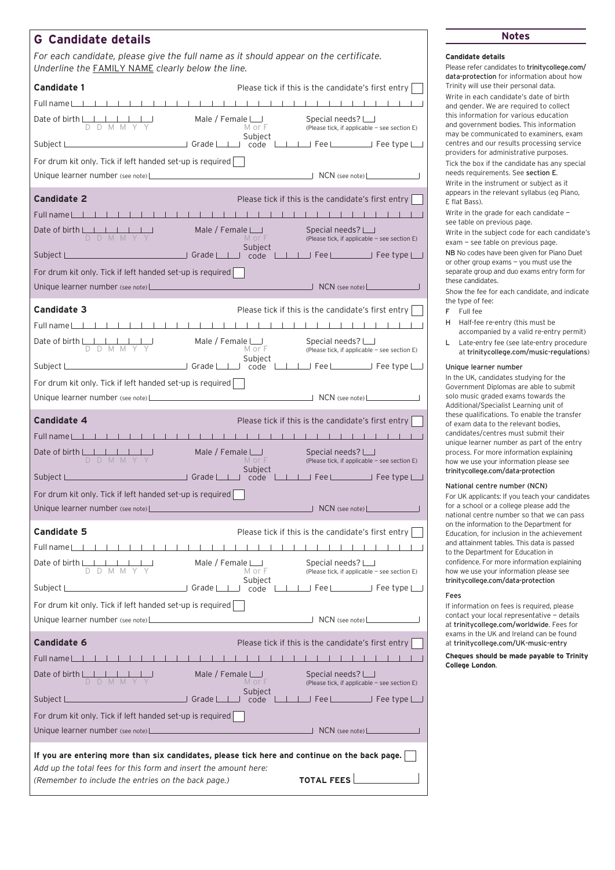## **G Candidate details Notes**

*For each candidate, please give the full name as it should appear on the certificate. Underline the* FAMILY NAME *clearly below the line.*

| <b>Candidate 1</b>                                                                                                                                                                                                             |                                         | Please tick if this is the candidate's first entry                                                         |
|--------------------------------------------------------------------------------------------------------------------------------------------------------------------------------------------------------------------------------|-----------------------------------------|------------------------------------------------------------------------------------------------------------|
| Full name                                                                                                                                                                                                                      | $-1$ 1 1 1<br>$\blacksquare$            | .                                                                                                          |
|                                                                                                                                                                                                                                | Male / Female $\Box$<br>MorF            | Special needs? $\Box$<br>(Please tick, if applicable - see section E)                                      |
|                                                                                                                                                                                                                                | Subiect                                 |                                                                                                            |
| For drum kit only. Tick if left handed set-up is required                                                                                                                                                                      |                                         |                                                                                                            |
|                                                                                                                                                                                                                                |                                         | $\Box$ NCN (see note) $\Box$                                                                               |
| <b>Candidate 2</b><br>Full name                                                                                                                                                                                                |                                         | Please tick if this is the candidate's first entry<br>.                                                    |
| Date of birth $\Box$                                                                                                                                                                                                           | Male / Female $\Box$                    | Special needs? $\Box$                                                                                      |
| Subject L                                                                                                                                                                                                                      | MorF<br>Subject                         | (Please tick, if applicable - see section E)<br>$\Box$ Grade $\Box$ code $\Box$ Fee $\Box$ Fee type $\Box$ |
| For drum kit only. Tick if left handed set-up is required                                                                                                                                                                      |                                         |                                                                                                            |
| Unique learner number (see note)                                                                                                                                                                                               |                                         | $\Box$ NCN (see note)                                                                                      |
| <b>Candidate 3</b>                                                                                                                                                                                                             |                                         | Please tick if this is the candidate's first entry                                                         |
| Full name                                                                                                                                                                                                                      | 1 1 1 1 1 1 1 1                         | .                                                                                                          |
| Date of birth $\begin{array}{ c c c c c }\n\hline\nD & D & M & M & Y & Y\n\end{array}$                                                                                                                                         | Male / Female $\bigsqcup$<br>MorF       | Special needs? $\Box$<br>(Please tick, if applicable - see section E)                                      |
|                                                                                                                                                                                                                                | Subject                                 |                                                                                                            |
| For drum kit only. Tick if left handed set-up is required                                                                                                                                                                      |                                         |                                                                                                            |
| Unique learner number (see note) Learner and the set of the set of the set of the set of the set of the set of the set of the set of the set of the set of the set of the set of the set of the set of the set of the set of t |                                         |                                                                                                            |
| <b>Candidate 4</b>                                                                                                                                                                                                             |                                         | Please tick if this is the candidate's first entry                                                         |
| $-1$ $-1$ $-1$ $-1$ $-1$<br>Full name Let Let Let                                                                                                                                                                              |                                         | .                                                                                                          |
| Date of birth $\begin{array}{ c c c c c c }\n\hline\nD & D & M & M & Y & Y\n\end{array}$                                                                                                                                       | Male / Female $\Box$<br>MorF<br>Subject | Special needs? $\Box$<br>(Please tick, if applicable - see section E)                                      |
| <b>CONTROLLER STATE STATE STATE</b><br>Subject L___                                                                                                                                                                            | — code ∟                                | IIIFee                                                                                                     |
| For drum kit only. Tick if left handed set-up is required                                                                                                                                                                      |                                         |                                                                                                            |
| Unique learner number (see note)                                                                                                                                                                                               |                                         |                                                                                                            |
| <b>Candidate 5</b>                                                                                                                                                                                                             |                                         | Please tick if this is the candidate's first entry                                                         |
| Full name                                                                                                                                                                                                                      |                                         |                                                                                                            |
| Date of birth LI<br>DDMMY                                                                                                                                                                                                      | Male / Female $\Box$<br>MorF<br>Subject | Special needs? $\Box$<br>(Please tick, if applicable - see section E)                                      |
| $\sqrt{1 - \frac{1}{2}}$ Grade<br>Subject L                                                                                                                                                                                    |                                         | code $\Box$ Fee $\Box$ Fee type $\Box$                                                                     |
| For drum kit only. Tick if left handed set-up is required                                                                                                                                                                      |                                         |                                                                                                            |
|                                                                                                                                                                                                                                |                                         | $\Box$ NCN (see note) $\Box$                                                                               |
| <b>Candidate 6</b>                                                                                                                                                                                                             |                                         | Please tick if this is the candidate's first entry                                                         |
|                                                                                                                                                                                                                                |                                         |                                                                                                            |
| Full name                                                                                                                                                                                                                      |                                         |                                                                                                            |
| Date of birth $\Box$                                                                                                                                                                                                           | Male / Female $\Box$<br>MorF<br>Subject | Special needs? L<br>(Please tick, if applicable - see section E)                                           |
| Grade L<br>Subject L                                                                                                                                                                                                           | code                                    |                                                                                                            |
| For drum kit only. Tick if left handed set-up is required                                                                                                                                                                      |                                         | Fee Lettype Late Tree type Late                                                                            |

### **Candidate details**

Please refer candidates to [trinitycollege.com/](http://trinitycollege.com/
data-protection) [data-protection](http://trinitycollege.com/
data-protection) for information about how Trinity will use their personal data. Write in each candidate's date of birth and gender. We are required to collect this information for various education and government bodies. This information may be communicated to examiners, exam centres and our results processing service providers for administrative purposes. Tick the box if the candidate has any special needs requirements. See section E. Write in the instrument or subject as it appears in the relevant syllabus (eg Piano, E flat Bass).

Write in the grade for each candidate see table on previous page.

Write in the subject code for each candidate's exam — see table on previous page.

NB No codes have been given for Piano Duet or other group exams — you must use the separate group and duo exams entry form for these candidates.

Show the fee for each candidate, and indicate the type of fee:

- F Full fee
- H Half-fee re-entry (this must be accompanied by a valid re-entry permit)
- L Late-entry fee (see late-entry procedure at [trinitycollege.com/music-regulations](http://trinitycollege.com/music-regulations))

#### Unique learner number

In the UK, candidates studying for the Government Diplomas are able to submit solo music graded exams towards the Additional/Specialist Learning unit of these qualifications. To enable the transfer of exam data to the relevant bodies, candidates/centres must submit their unique learner number as part of the entry process. For more information explaining how we use your information please see [trinitycollege.com/data-protection](http://trinitycollege.com/data-protection)

#### National centre number (NCN)

For UK applicants: If you teach your candidates for a school or a college please add the national centre number so that we can pass on the information to the Department for Education, for inclusion in the achievement and attainment tables. This data is passed to the Department for Education in confidence. For more information explaining how we use your information please see [trinitycollege.com/data-protection](http://trinitycollege.com/data-protection)

#### Fees

If information on fees is required, please contact your local representative — details at [trinitycollege.com/worldwide](http://trinitycollege.com/worldwide). Fees for exams in the UK and Ireland can be found at [trinitycollege.com/UK-music-entry](http://trinitycollege.com/UK-music-entry)

**Cheques should be made payable to Trinity College London**.